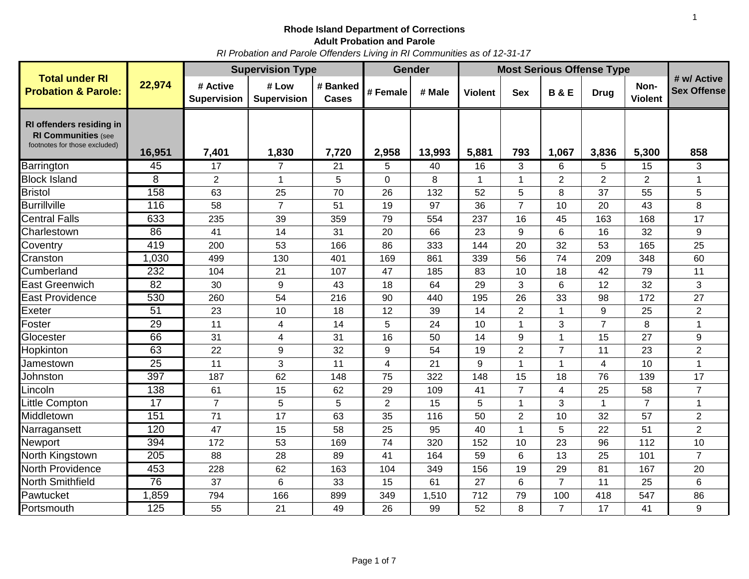# **Rhode Island Department of Corrections**

**Adult Probation and Parole**

*RI Probation and Parole Offenders Living in RI Communities as of 12-31-17*

|                                                                                         |                 | <b>Supervision Type</b>        |                             |                          |                | Gender | <b>Most Serious Offense Type</b> |                |                |                |                        |                                   |
|-----------------------------------------------------------------------------------------|-----------------|--------------------------------|-----------------------------|--------------------------|----------------|--------|----------------------------------|----------------|----------------|----------------|------------------------|-----------------------------------|
| <b>Total under RI</b><br><b>Probation &amp; Parole:</b>                                 | 22,974          | # Active<br><b>Supervision</b> | # Low<br><b>Supervision</b> | # Banked<br><b>Cases</b> | # Female       | # Male | <b>Violent</b>                   | <b>Sex</b>     | <b>B&amp;E</b> | <b>Drug</b>    | Non-<br><b>Violent</b> | # w/ Active<br><b>Sex Offense</b> |
| RI offenders residing in<br><b>RI Communities (see</b><br>footnotes for those excluded) | 16,951          | 7,401                          | 1,830                       | 7,720                    | 2,958          | 13,993 | 5,881                            | 793            | 1,067          | 3,836          | 5,300                  | 858                               |
| Barrington                                                                              | 45              | 17                             | $\overline{7}$              | 21                       | 5              | 40     | 16                               | 3              | 6              | 5              | 15                     | 3                                 |
| <b>Block Island</b>                                                                     | 8               | $\overline{2}$                 | 1                           | 5                        | 0              | 8      | 1                                | 1              | $\overline{2}$ | $\overline{2}$ | $\overline{2}$         | 1                                 |
| <b>Bristol</b>                                                                          | 158             | 63                             | 25                          | 70                       | 26             | 132    | 52                               | 5              | 8              | 37             | 55                     | 5                                 |
| <b>Burrillville</b>                                                                     | 116             | 58                             | $\overline{7}$              | 51                       | 19             | 97     | 36                               | $\overline{7}$ | 10             | 20             | 43                     | 8                                 |
| <b>Central Falls</b>                                                                    | 633             | 235                            | 39                          | 359                      | 79             | 554    | 237                              | 16             | 45             | 163            | 168                    | 17                                |
| Charlestown                                                                             | 86              | 41                             | 14                          | 31                       | 20             | 66     | 23                               | 9              | 6              | 16             | 32                     | 9                                 |
| Coventry                                                                                | 419             | 200                            | 53                          | 166                      | 86             | 333    | 144                              | 20             | 32             | 53             | 165                    | 25                                |
| Cranston                                                                                | 1,030           | 499                            | 130                         | 401                      | 169            | 861    | 339                              | 56             | 74             | 209            | 348                    | 60                                |
| Cumberland                                                                              | 232             | 104                            | 21                          | 107                      | 47             | 185    | 83                               | 10             | 18             | 42             | 79                     | 11                                |
| <b>East Greenwich</b>                                                                   | $\overline{82}$ | 30                             | 9                           | 43                       | 18             | 64     | 29                               | 3              | 6              | 12             | 32                     | 3                                 |
| East Providence                                                                         | 530             | 260                            | 54                          | 216                      | 90             | 440    | 195                              | 26             | 33             | 98             | 172                    | 27                                |
| Exeter                                                                                  | 51              | 23                             | 10                          | 18                       | 12             | 39     | 14                               | $\overline{2}$ | $\mathbf{1}$   | 9              | 25                     | $\overline{2}$                    |
| Foster                                                                                  | 29              | 11                             | 4                           | 14                       | 5              | 24     | 10                               | 1              | 3              | $\overline{7}$ | 8                      | $\mathbf 1$                       |
| Glocester                                                                               | 66              | 31                             | 4                           | 31                       | 16             | 50     | 14                               | 9              | $\mathbf{1}$   | 15             | 27                     | 9                                 |
| Hopkinton                                                                               | 63              | 22                             | 9                           | 32                       | 9              | 54     | 19                               | $\overline{2}$ | $\overline{7}$ | 11             | 23                     | $\overline{2}$                    |
| Jamestown                                                                               | $\overline{25}$ | 11                             | 3                           | 11                       | 4              | 21     | 9                                | 1              | $\mathbf{1}$   | $\overline{4}$ | 10                     | $\overline{1}$                    |
| Johnston                                                                                | 397             | 187                            | 62                          | 148                      | 75             | 322    | 148                              | 15             | 18             | 76             | 139                    | 17                                |
| Lincoln                                                                                 | 138             | 61                             | 15                          | 62                       | 29             | 109    | 41                               | $\overline{7}$ | 4              | 25             | 58                     | $\overline{7}$                    |
| <b>Little Compton</b>                                                                   | $\overline{17}$ | $\overline{7}$                 | 5                           | 5                        | $\overline{2}$ | 15     | 5                                | 1              | 3              | $\mathbf{1}$   | $\overline{7}$         | $\mathbf{1}$                      |
| Middletown                                                                              | 151             | 71                             | 17                          | 63                       | 35             | 116    | 50                               | $\overline{2}$ | 10             | 32             | 57                     | $\overline{2}$                    |
| Narragansett                                                                            | 120             | 47                             | 15                          | 58                       | 25             | 95     | 40                               | 1              | 5              | 22             | 51                     | $\overline{2}$                    |
| Newport                                                                                 | 394             | 172                            | 53                          | 169                      | 74             | 320    | 152                              | 10             | 23             | 96             | 112                    | 10                                |
| North Kingstown                                                                         | 205             | 88                             | 28                          | 89                       | 41             | 164    | 59                               | 6              | 13             | 25             | 101                    | $\overline{7}$                    |
| North Providence                                                                        | 453             | 228                            | 62                          | 163                      | 104            | 349    | 156                              | 19             | 29             | 81             | 167                    | 20                                |
| North Smithfield                                                                        | 76              | 37                             | 6                           | 33                       | 15             | 61     | 27                               | 6              | $\overline{7}$ | 11             | 25                     | 6                                 |
| Pawtucket                                                                               | 1,859           | 794                            | 166                         | 899                      | 349            | 1,510  | 712                              | 79             | 100            | 418            | 547                    | 86                                |
| Portsmouth                                                                              | 125             | 55                             | 21                          | 49                       | 26             | 99     | 52                               | 8              | $\overline{7}$ | 17             | 41                     | 9                                 |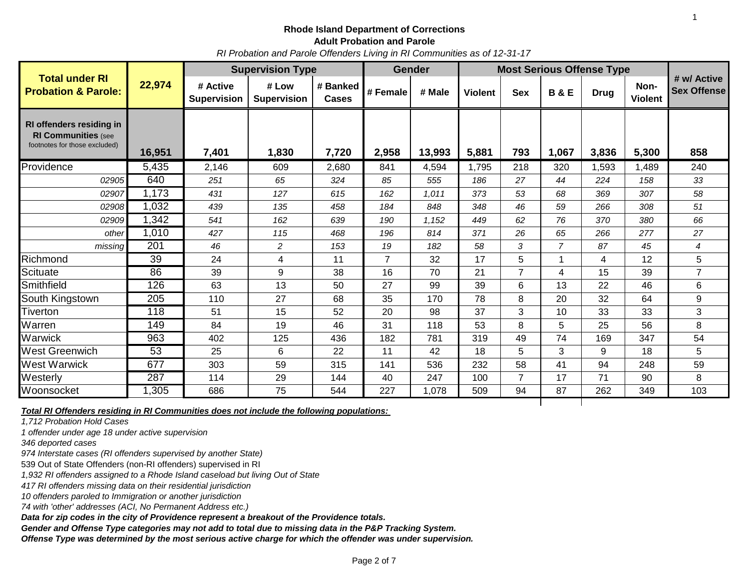*RI Probation and Parole Offenders Living in RI Communities as of 12-31-17*

|                                                                                         |        | <b>Supervision Type</b>        |                             |                   | <b>Gender</b>  |        | <b>Most Serious Offense Type</b> |                |                |             |                        |                            |
|-----------------------------------------------------------------------------------------|--------|--------------------------------|-----------------------------|-------------------|----------------|--------|----------------------------------|----------------|----------------|-------------|------------------------|----------------------------|
| <b>Total under RI</b><br><b>Probation &amp; Parole:</b>                                 | 22,974 | # Active<br><b>Supervision</b> | # Low<br><b>Supervision</b> | # Banked<br>Cases | # Female       | # Male | <b>Violent</b>                   | <b>Sex</b>     | <b>B&amp;E</b> | <b>Drug</b> | Non-<br><b>Violent</b> | # w/ Active<br>Sex Offense |
| RI offenders residing in<br><b>RI Communities (see</b><br>footnotes for those excluded) | 16,951 | 7,401                          | 1,830                       | 7,720             | 2,958          | 13,993 | 5,881                            | 793            | 1,067          | 3,836       | 5,300                  | 858                        |
| Providence                                                                              | 5,435  | 2,146                          | 609                         | 2,680             | 841            | 4,594  | 1,795                            | 218            | 320            | 1,593       | 1,489                  | 240                        |
| 02905                                                                                   | 640    | 251                            | 65                          | 324               | 85             | 555    | 186                              | 27             | 44             | 224         | 158                    | 33                         |
| 02907                                                                                   | 1,173  | 431                            | 127                         | 615               | 162            | 1,011  | 373                              | 53             | 68             | 369         | 307                    | 58                         |
| 02908                                                                                   | 1,032  | 439                            | 135                         | 458               | 184            | 848    | 348                              | 46             | 59             | 266         | 308                    | 51                         |
| 02909                                                                                   | 1,342  | 541                            | 162                         | 639               | 190            | 1,152  | 449                              | 62             | 76             | 370         | 380                    | 66                         |
| other                                                                                   | 1,010  | 427                            | 115                         | 468               | 196            | 814    | 371                              | 26             | 65             | 266         | 277                    | 27                         |
| missing                                                                                 | 201    | 46                             | $\overline{c}$              | 153               | 19             | 182    | 58                               | 3              | $\overline{7}$ | 87          | 45                     | 4                          |
| Richmond                                                                                | 39     | 24                             | 4                           | 11                | $\overline{7}$ | 32     | 17                               | 5              |                | 4           | 12                     | 5                          |
| <b>Scituate</b>                                                                         | 86     | 39                             | 9                           | 38                | 16             | 70     | 21                               | $\overline{7}$ | 4              | 15          | 39                     | $\overline{7}$             |
| Smithfield                                                                              | 126    | 63                             | 13                          | 50                | 27             | 99     | 39                               | 6              | 13             | 22          | 46                     | 6                          |
| South Kingstown                                                                         | 205    | 110                            | 27                          | 68                | 35             | 170    | 78                               | 8              | 20             | 32          | 64                     | 9                          |
| <b>Tiverton</b>                                                                         | 118    | 51                             | 15                          | 52                | 20             | 98     | 37                               | 3              | 10             | 33          | 33                     | 3                          |
| Warren                                                                                  | 149    | 84                             | 19                          | 46                | 31             | 118    | 53                               | 8              | 5              | 25          | 56                     | 8                          |
| Warwick                                                                                 | 963    | 402                            | 125                         | 436               | 182            | 781    | 319                              | 49             | 74             | 169         | 347                    | 54                         |
| <b>West Greenwich</b>                                                                   | 53     | 25                             | 6                           | 22                | 11             | 42     | 18                               | 5              | 3              | 9           | 18                     | 5                          |
| <b>West Warwick</b>                                                                     | 677    | 303                            | 59                          | 315               | 141            | 536    | 232                              | 58             | 41             | 94          | 248                    | 59                         |
| Westerly                                                                                | 287    | 114                            | 29                          | 144               | 40             | 247    | 100                              | $\overline{7}$ | 17             | 71          | 90                     | 8                          |
| Woonsocket                                                                              | 1,305  | 686                            | 75                          | 544               | 227            | 1,078  | 509                              | 94             | 87             | 262         | 349                    | 103                        |

*Total RI Offenders residing in RI Communities does not include the following populations:* 

*1,712 Probation Hold Cases*

*1 offender under age 18 under active supervision*

*346 deported cases* 

*974 Interstate cases (RI offenders supervised by another State)* 

539 Out of State Offenders (non-RI offenders) supervised in RI

*1,932 RI offenders assigned to a Rhode Island caseload but living Out of State*

*417 RI offenders missing data on their residential jurisdiction*

*10 offenders paroled to Immigration or another jurisdiction*

*74 with 'other' addresses (ACI, No Permanent Address etc.)*

*Data for zip codes in the city of Providence represent a breakout of the Providence totals.*

*Gender and Offense Type categories may not add to total due to missing data in the P&P Tracking System.*

*Offense Type was determined by the most serious active charge for which the offender was under supervision.*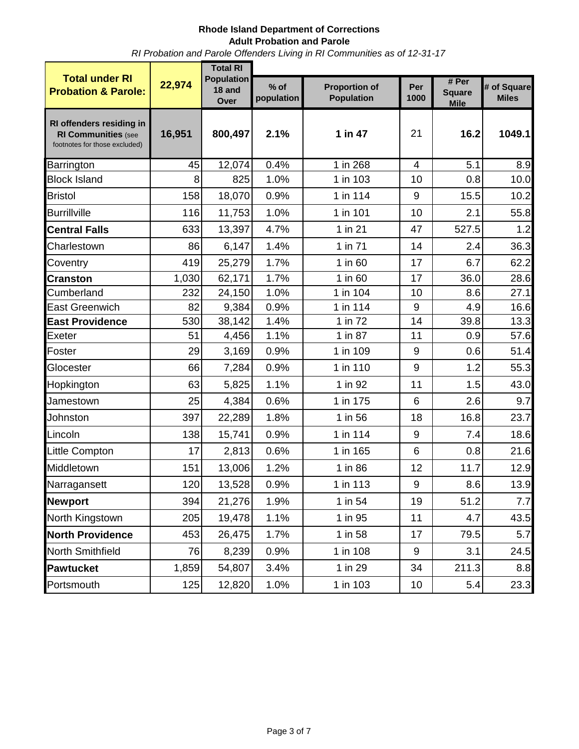*RI Probation and Parole Offenders Living in RI Communities as of 12-31-17*

|                                                                                         |        | <b>Total RI</b>                     |                      |                                           |                  |                                       |                             |  |  |  |  |  |
|-----------------------------------------------------------------------------------------|--------|-------------------------------------|----------------------|-------------------------------------------|------------------|---------------------------------------|-----------------------------|--|--|--|--|--|
| <b>Total under RI</b><br><b>Probation &amp; Parole:</b>                                 | 22,974 | <b>Population</b><br>18 and<br>Over | $%$ of<br>population | <b>Proportion of</b><br><b>Population</b> | Per<br>1000      | # Per<br><b>Square</b><br><b>Mile</b> | # of Square<br><b>Miles</b> |  |  |  |  |  |
| RI offenders residing in<br><b>RI Communities (see</b><br>footnotes for those excluded) | 16,951 | 800,497                             | 2.1%                 | 1 in 47                                   | 21               | 16.2                                  | 1049.1                      |  |  |  |  |  |
| Barrington                                                                              | 45     | 12,074                              | 0.4%                 | $1$ in 268                                | $\overline{4}$   | $\overline{5.1}$                      | 8.9                         |  |  |  |  |  |
| <b>Block Island</b>                                                                     | 8      | 825                                 | 1.0%                 | 1 in 103                                  | 10               | 0.8                                   | 10.0                        |  |  |  |  |  |
| <b>Bristol</b>                                                                          | 158    | 18,070                              | 0.9%                 | 1 in 114                                  | 9                | 15.5                                  | 10.2                        |  |  |  |  |  |
| <b>Burrillville</b>                                                                     | 116    | 11,753                              | 1.0%                 | 1 in 101                                  | 10               | 2.1                                   | 55.8                        |  |  |  |  |  |
| <b>Central Falls</b>                                                                    | 633    | 13,397                              | 4.7%                 | 1 in 21                                   | 47               | 527.5                                 | 1.2                         |  |  |  |  |  |
| Charlestown                                                                             | 86     | 6,147                               | 1.4%                 | 1 in 71                                   | 14               | 2.4                                   | 36.3                        |  |  |  |  |  |
| Coventry                                                                                | 419    | 25,279                              | 1.7%                 | 1 in 60                                   | 17               | 6.7                                   | 62.2                        |  |  |  |  |  |
| <b>Cranston</b>                                                                         | 1,030  | 62,171                              | 1.7%                 | 1 in 60                                   | 17               | 36.0                                  | 28.6                        |  |  |  |  |  |
| Cumberland                                                                              | 232    | 24,150                              | 1.0%                 | 1 in 104                                  | 10               | 8.6                                   | 27.1                        |  |  |  |  |  |
| <b>East Greenwich</b>                                                                   | 82     | 9,384                               | 0.9%                 | 1 in 114                                  | 9                | 4.9                                   | 16.6                        |  |  |  |  |  |
| <b>East Providence</b>                                                                  | 530    | 38,142                              | 1.4%                 | 1 in 72                                   | 14               | 39.8                                  | 13.3                        |  |  |  |  |  |
| Exeter                                                                                  | 51     | 4,456                               | 1.1%                 | 1 in 87                                   | 11               | 0.9                                   | 57.6                        |  |  |  |  |  |
| Foster                                                                                  | 29     | 3,169                               | 0.9%                 | 1 in 109                                  | 9                | 0.6                                   | 51.4                        |  |  |  |  |  |
| Glocester                                                                               | 66     | 7,284                               | 0.9%                 | 1 in 110                                  | 9                | 1.2                                   | 55.3                        |  |  |  |  |  |
| Hopkington                                                                              | 63     | 5,825                               | 1.1%                 | 1 in 92                                   | 11               | 1.5                                   | 43.0                        |  |  |  |  |  |
| Jamestown                                                                               | 25     | 4,384                               | 0.6%                 | 1 in 175                                  | 6                | 2.6                                   | 9.7                         |  |  |  |  |  |
| Johnston                                                                                | 397    | 22,289                              | 1.8%                 | 1 in 56                                   | 18               | 16.8                                  | 23.7                        |  |  |  |  |  |
| Lincoln                                                                                 | 138    | 15,741                              | 0.9%                 | 1 in 114                                  | 9                | 7.4                                   | 18.6                        |  |  |  |  |  |
| Little Compton                                                                          | 17     | 2,813                               | 0.6%                 | 1 in 165                                  | 6                | 0.8                                   | 21.6                        |  |  |  |  |  |
| Middletown                                                                              | 151    | 13,006                              | 1.2%                 | 1 in 86                                   | 12               | 11.7                                  | 12.9                        |  |  |  |  |  |
| Narragansett                                                                            | 120    | 13,528                              | 0.9%                 | 1 in 113                                  | $\boldsymbol{9}$ | 8.6                                   | 13.9                        |  |  |  |  |  |
| <b>Newport</b>                                                                          | 394    | 21,276                              | 1.9%                 | 1 in 54                                   | 19               | 51.2                                  | 7.7                         |  |  |  |  |  |
| North Kingstown                                                                         | 205    | 19,478                              | 1.1%                 | 1 in 95                                   | 11               | 4.7                                   | 43.5                        |  |  |  |  |  |
| <b>North Providence</b>                                                                 | 453    | 26,475                              | 1.7%                 | 1 in 58                                   | 17               | 79.5                                  | 5.7                         |  |  |  |  |  |
| North Smithfield                                                                        | 76     | 8,239                               | 0.9%                 | 1 in 108                                  | 9                | 3.1                                   | 24.5                        |  |  |  |  |  |
| <b>Pawtucket</b>                                                                        | 1,859  | 54,807                              | 3.4%                 | 1 in 29                                   | 34               | 211.3                                 | 8.8                         |  |  |  |  |  |
| Portsmouth                                                                              | 125    | 12,820                              | 1.0%                 | 1 in 103                                  | 10               | 5.4                                   | 23.3                        |  |  |  |  |  |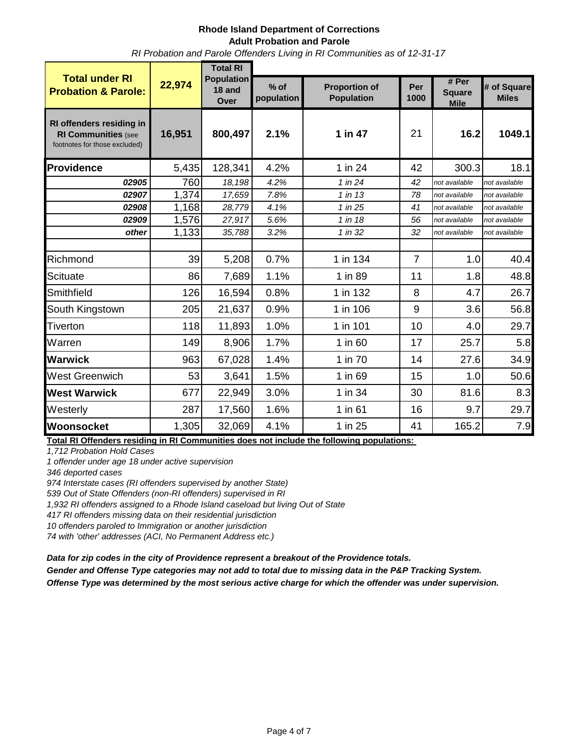*RI Probation and Parole Offenders Living in RI Communities as of 12-31-17*

|                                                                                         |        | <b>Total RI</b>                     |                      |                                           |                |                                       |                             |  |  |  |  |
|-----------------------------------------------------------------------------------------|--------|-------------------------------------|----------------------|-------------------------------------------|----------------|---------------------------------------|-----------------------------|--|--|--|--|
| <b>Total under RI</b><br><b>Probation &amp; Parole:</b>                                 | 22,974 | <b>Population</b><br>18 and<br>Over | $%$ of<br>population | <b>Proportion of</b><br><b>Population</b> | Per<br>1000    | # Per<br><b>Square</b><br><b>Mile</b> | # of Square<br><b>Miles</b> |  |  |  |  |
| RI offenders residing in<br><b>RI Communities (see</b><br>footnotes for those excluded) | 16,951 | 800,497                             | 2.1%                 | 1 in 47                                   | 21             | 16.2                                  | 1049.1                      |  |  |  |  |
| Providence                                                                              | 5,435  | 128,341                             | 4.2%                 | 1 in 24                                   | 42             | 300.3                                 | 18.1                        |  |  |  |  |
| 02905                                                                                   | 760    | 18,198                              | 4.2%                 | 1 in 24                                   | 42             | not available                         | not available               |  |  |  |  |
| 02907                                                                                   | 1,374  | 17,659                              | 7.8%                 | 1 in 13                                   | 78             | not available                         | not available               |  |  |  |  |
| 02908                                                                                   | 1,168  | 28,779                              | 4.1%                 | 1 in 25                                   | 41             | not available                         | not available               |  |  |  |  |
| 02909                                                                                   | 1,576  | 27,917                              | 5.6%                 | 1 in 18                                   | 56             | not available                         | not available               |  |  |  |  |
| other                                                                                   | 1,133  | 35,788                              | 3.2%                 | 1 in 32                                   | 32             | not available                         | not available               |  |  |  |  |
| Richmond                                                                                | 39     | 5,208                               | 0.7%                 | 1 in 134                                  | $\overline{7}$ | 1.0                                   | 40.4                        |  |  |  |  |
| <b>Scituate</b>                                                                         | 86     | 7,689                               | 1.1%                 | 1 in 89                                   | 11             | 1.8                                   | 48.8                        |  |  |  |  |
| Smithfield                                                                              | 126    | 16,594                              | 0.8%                 | 1 in 132                                  | 8              | 4.7                                   | 26.7                        |  |  |  |  |
| South Kingstown                                                                         | 205    | 21,637                              | 0.9%                 | 1 in 106                                  | 9              | 3.6                                   | 56.8                        |  |  |  |  |
| Tiverton                                                                                | 118    | 11,893                              | 1.0%                 | 1 in 101                                  | 10             | 4.0                                   | 29.7                        |  |  |  |  |
| Warren                                                                                  | 149    | 8,906                               | 1.7%                 | 1 in 60                                   | 17             | 25.7                                  | 5.8                         |  |  |  |  |
| <b>Warwick</b>                                                                          | 963    | 67,028                              | 1.4%                 | 1 in 70                                   | 14             | 27.6                                  | 34.9                        |  |  |  |  |
| West Greenwich                                                                          | 53     | 3,641                               | 1.5%                 | 1 in 69                                   | 15             | 1.0                                   | 50.6                        |  |  |  |  |
| <b>West Warwick</b>                                                                     | 677    | 22,949                              | 3.0%                 | 1 in 34                                   | 30             | 81.6                                  | 8.3                         |  |  |  |  |
| Westerly                                                                                | 287    | 17,560                              | 1.6%                 | 1 in 61                                   | 16             | 9.7                                   | 29.7                        |  |  |  |  |
| Woonsocket                                                                              | 1,305  | 32,069                              | 4.1%                 | 1 in 25                                   | 41             | 165.2                                 | 7.9                         |  |  |  |  |

**Total RI Offenders residing in RI Communities does not include the following populations:** 

*1,712 Probation Hold Cases*

*1 offender under age 18 under active supervision*

*346 deported cases* 

*974 Interstate cases (RI offenders supervised by another State)* 

*539 Out of State Offenders (non-RI offenders) supervised in RI* 

*1,932 RI offenders assigned to a Rhode Island caseload but living Out of State*

*417 RI offenders missing data on their residential jurisdiction*

*10 offenders paroled to Immigration or another jurisdiction*

*74 with 'other' addresses (ACI, No Permanent Address etc.)*

*Data for zip codes in the city of Providence represent a breakout of the Providence totals.*

*Gender and Offense Type categories may not add to total due to missing data in the P&P Tracking System.*

*Offense Type was determined by the most serious active charge for which the offender was under supervision.*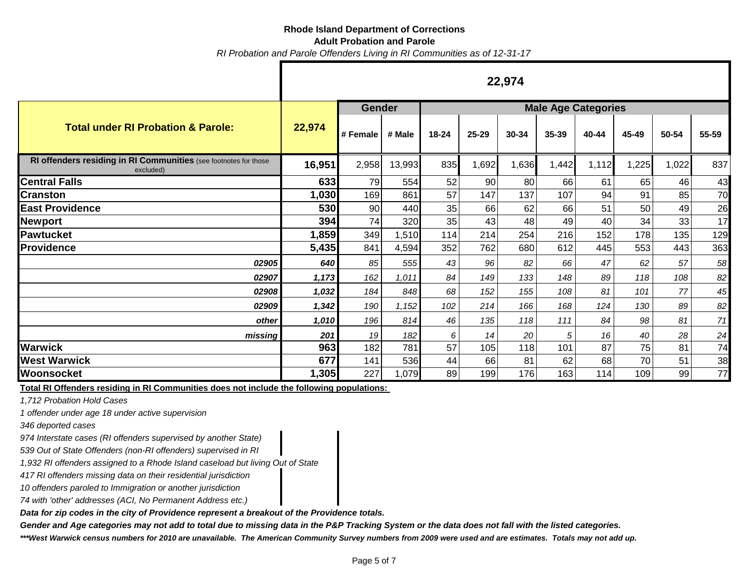# **Rhode Island Department of Corrections**

#### **Adult Probation and Parole**

*RI Probation and Parole Offenders Living in RI Communities as of 12-31-17*

|                                                                               | 22,974 |               |        |                            |       |       |       |       |       |       |       |
|-------------------------------------------------------------------------------|--------|---------------|--------|----------------------------|-------|-------|-------|-------|-------|-------|-------|
|                                                                               |        | <b>Gender</b> |        | <b>Male Age Categories</b> |       |       |       |       |       |       |       |
| <b>Total under RI Probation &amp; Parole:</b>                                 | 22,974 | # Female      | # Male | 18-24                      | 25-29 | 30-34 | 35-39 | 40-44 | 45-49 | 50-54 | 55-59 |
| RI offenders residing in RI Communities (see footnotes for those<br>excluded) | 16,951 | 2,958         | 13,993 | 835                        | 1,692 | 1,636 | 1,442 | 1,112 | 1,225 | 1,022 | 837   |
| <b>Central Falls</b>                                                          | 633    | 79            | 554    | 52                         | 90    | 80    | 66    | 61    | 65    | 46    | 43    |
| <b>Cranston</b>                                                               | 1,030  | 169           | 861    | 57                         | 147   | 137   | 107   | 94    | 91    | 85    | 70    |
| <b>East Providence</b>                                                        | 530    | 90            | 440    | 35                         | 66    | 62    | 66    | 51    | 50    | 49    | 26    |
| Newport                                                                       | 394    | 74            | 320    | 35                         | 43    | 48    | 49    | 40    | 34    | 33    | 17    |
| <b>Pawtucket</b>                                                              | 1,859  | 349           | 1,510  | 114                        | 214   | 254   | 216   | 152   | 178   | 135   | 129   |
| <b>Providence</b>                                                             | 5,435  | 841           | 4,594  | 352                        | 762   | 680   | 612   | 445   | 553   | 443   | 363   |
| 02905                                                                         | 640    | 85            | 555    | 43                         | 96    | 82    | 66    | 47    | 62    | 57    | 58    |
| 02907                                                                         | 1,173  | 162           | 1,011  | 84                         | 149   | 133   | 148   | 89    | 118   | 108   | 82    |
| 02908                                                                         | 1,032  | 184           | 848    | 68                         | 152   | 155   | 108   | 81    | 101   | 77    | 45    |
| 02909                                                                         | 1,342  | 190           | 1,152  | 102                        | 214   | 166   | 168   | 124   | 130   | 89    | 82    |
| other                                                                         | 1,010  | 196           | 814    | 46                         | 135   | 118   | 111   | 84    | 98    | 81    | 71    |
| missing                                                                       | 201    | 19            | 182    | 6                          | 14    | 20    | 5     | 16    | 40    | 28    | 24    |
| <b>Warwick</b>                                                                | 963    | 182           | 781    | 57                         | 105   | 118   | 101   | 87    | 75    | 81    | 74    |
| <b>West Warwick</b>                                                           | 677    | 141           | 536    | 44                         | 66    | 81    | 62    | 68    | 70    | 51    | 38    |
| Woonsocket                                                                    | 1,305  | 227           | 1,079  | 89                         | 199   | 176   | 163   | 114   | 109   | 99    | 77    |

**Total RI Offenders residing in RI Communities does not include the following populations:** 

*1,712 Probation Hold Cases*

*1 offender under age 18 under active supervision*

*346 deported cases* 

*974 Interstate cases (RI offenders supervised by another State)* 

*539 Out of State Offenders (non-RI offenders) supervised in RI* 

*1,932 RI offenders assigned to a Rhode Island caseload but living Out of State*

*417 RI offenders missing data on their residential jurisdiction*

*10 offenders paroled to Immigration or another jurisdiction*

*74 with 'other' addresses (ACI, No Permanent Address etc.)*

*Data for zip codes in the city of Providence represent a breakout of the Providence totals.*

*Gender and Age categories may not add to total due to missing data in the P&P Tracking System or the data does not fall with the listed categories.*

*\*\*\*West Warwick census numbers for 2010 are unavailable. The American Community Survey numbers from 2009 were used and are estimates. Totals may not add up.*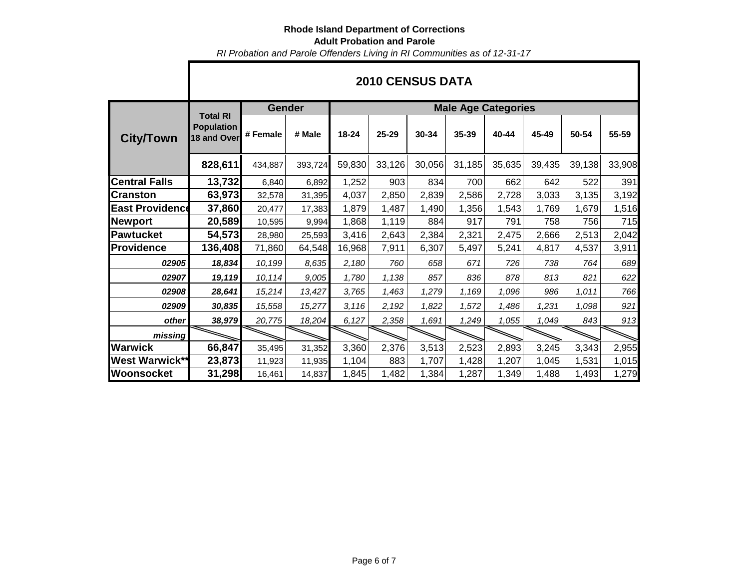*RI Probation and Parole Offenders Living in RI Communities as of 12-31-17*

|                        | ZUTU GENSUS DATA                                    |               |         |                            |           |        |        |        |        |        |        |  |  |
|------------------------|-----------------------------------------------------|---------------|---------|----------------------------|-----------|--------|--------|--------|--------|--------|--------|--|--|
|                        |                                                     | <b>Gender</b> |         | <b>Male Age Categories</b> |           |        |        |        |        |        |        |  |  |
| <b>City/Town</b>       | <b>Total RI</b><br><b>Population</b><br>18 and Over | # Female      | # Male  | 18-24                      | $25 - 29$ | 30-34  | 35-39  | 40-44  | 45-49  | 50-54  | 55-59  |  |  |
|                        | 828,611                                             | 434,887       | 393,724 | 59,830                     | 33,126    | 30,056 | 31,185 | 35,635 | 39,435 | 39,138 | 33,908 |  |  |
| <b>Central Falls</b>   | 13,732                                              | 6,840         | 6,892   | 1,252                      | 903       | 834    | 700    | 662    | 642    | 522    | 391    |  |  |
| <b>Cranston</b>        | 63,973                                              | 32,578        | 31,395  | 4,037                      | 2,850     | 2,839  | 2,586  | 2,728  | 3,033  | 3,135  | 3,192  |  |  |
| <b>East Providence</b> | 37,860                                              | 20,477        | 17,383  | 1,879                      | 1,487     | 1,490  | 1,356  | 1,543  | 1,769  | 1,679  | 1,516  |  |  |
| Newport                | 20,589                                              | 10,595        | 9,994   | 1,868                      | 1,119     | 884    | 917    | 791    | 758    | 756    | 715    |  |  |
| <b>Pawtucket</b>       | 54,573                                              | 28,980        | 25,593  | 3,416                      | 2,643     | 2,384  | 2,321  | 2,475  | 2,666  | 2,513  | 2,042  |  |  |
| <b>Providence</b>      | 136,408                                             | 71,860        | 64,548  | 16,968                     | 7,911     | 6,307  | 5,497  | 5,241  | 4,817  | 4,537  | 3,911  |  |  |
| 02905                  | 18,834                                              | 10,199        | 8,635   | 2,180                      | 760       | 658    | 671    | 726    | 738    | 764    | 689    |  |  |
| 02907                  | 19,119                                              | 10,114        | 9,005   | 1,780                      | 1,138     | 857    | 836    | 878    | 813    | 821    | 622    |  |  |
| 02908                  | 28,641                                              | 15,214        | 13,427  | 3,765                      | 1,463     | 1,279  | 1,169  | 1,096  | 986    | 1,011  | 766    |  |  |
| 02909                  | 30,835                                              | 15,558        | 15,277  | 3,116                      | 2,192     | 1,822  | 1,572  | 1,486  | 1,231  | 1,098  | 921    |  |  |
| other                  | 38,979                                              | 20,775        | 18,204  | 6,127                      | 2,358     | 1,691  | 1,249  | 1,055  | 1,049  | 843    | 913    |  |  |
| missing                |                                                     |               |         |                            |           |        |        |        |        |        |        |  |  |
| <b>Warwick</b>         | 66,847                                              | 35,495        | 31,352  | 3,360                      | 2,376     | 3,513  | 2,523  | 2,893  | 3,245  | 3,343  | 2,955  |  |  |
| <b>West Warwick**</b>  | 23,873                                              | 11,923        | 11,935  | 1,104                      | 883       | 1,707  | 1,428  | 1,207  | 1,045  | 1,531  | 1,015  |  |  |
| Woonsocket             | 31,298                                              | 16,461        | 14,837  | 1,845                      | 1,482     | 1,384  | 1,287  | 1,349  | 1,488  | 1,493  | 1,279  |  |  |

# **2010 CENSUS DATA**